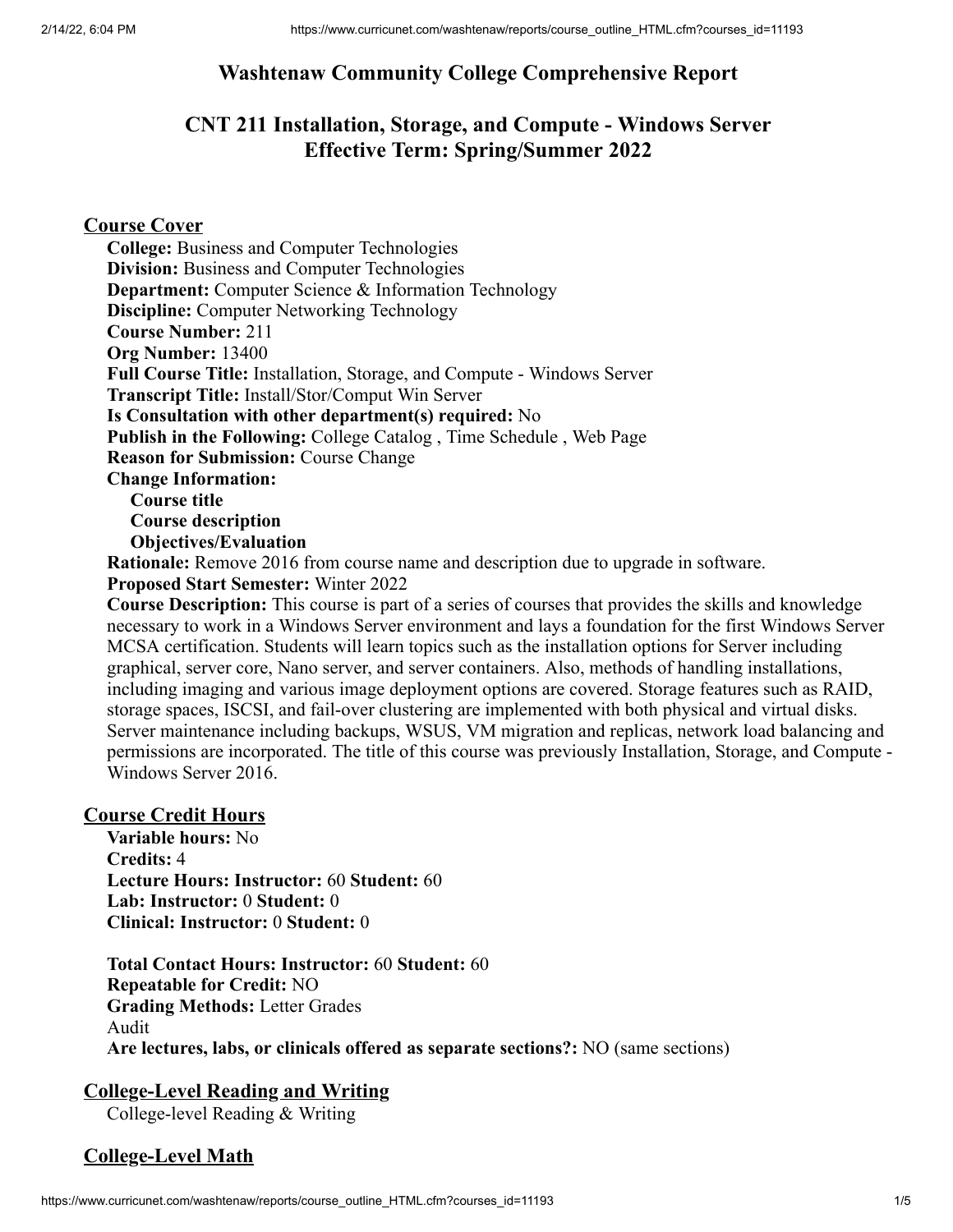# **Washtenaw Community College Comprehensive Report**

# **CNT 211 Installation, Storage, and Compute - Windows Server Effective Term: Spring/Summer 2022**

## **Course Cover**

**College:** Business and Computer Technologies **Division:** Business and Computer Technologies **Department:** Computer Science & Information Technology **Discipline:** Computer Networking Technology **Course Number:** 211 **Org Number:** 13400 **Full Course Title:** Installation, Storage, and Compute - Windows Server **Transcript Title:** Install/Stor/Comput Win Server **Is Consultation with other department(s) required:** No **Publish in the Following:** College Catalog , Time Schedule , Web Page **Reason for Submission:** Course Change **Change Information: Course title Course description Objectives/Evaluation Rationale:** Remove 2016 from course name and description due to upgrade in software.

**Proposed Start Semester:** Winter 2022

**Course Description:** This course is part of a series of courses that provides the skills and knowledge necessary to work in a Windows Server environment and lays a foundation for the first Windows Server MCSA certification. Students will learn topics such as the installation options for Server including graphical, server core, Nano server, and server containers. Also, methods of handling installations, including imaging and various image deployment options are covered. Storage features such as RAID, storage spaces, ISCSI, and fail-over clustering are implemented with both physical and virtual disks. Server maintenance including backups, WSUS, VM migration and replicas, network load balancing and permissions are incorporated. The title of this course was previously Installation, Storage, and Compute - Windows Server 2016.

## **Course Credit Hours**

**Variable hours:** No **Credits:** 4 **Lecture Hours: Instructor:** 60 **Student:** 60 **Lab: Instructor:** 0 **Student:** 0 **Clinical: Instructor:** 0 **Student:** 0

**Total Contact Hours: Instructor:** 60 **Student:** 60 **Repeatable for Credit:** NO **Grading Methods:** Letter Grades Audit **Are lectures, labs, or clinicals offered as separate sections?:** NO (same sections)

# **College-Level Reading and Writing**

College-level Reading & Writing

# **College-Level Math**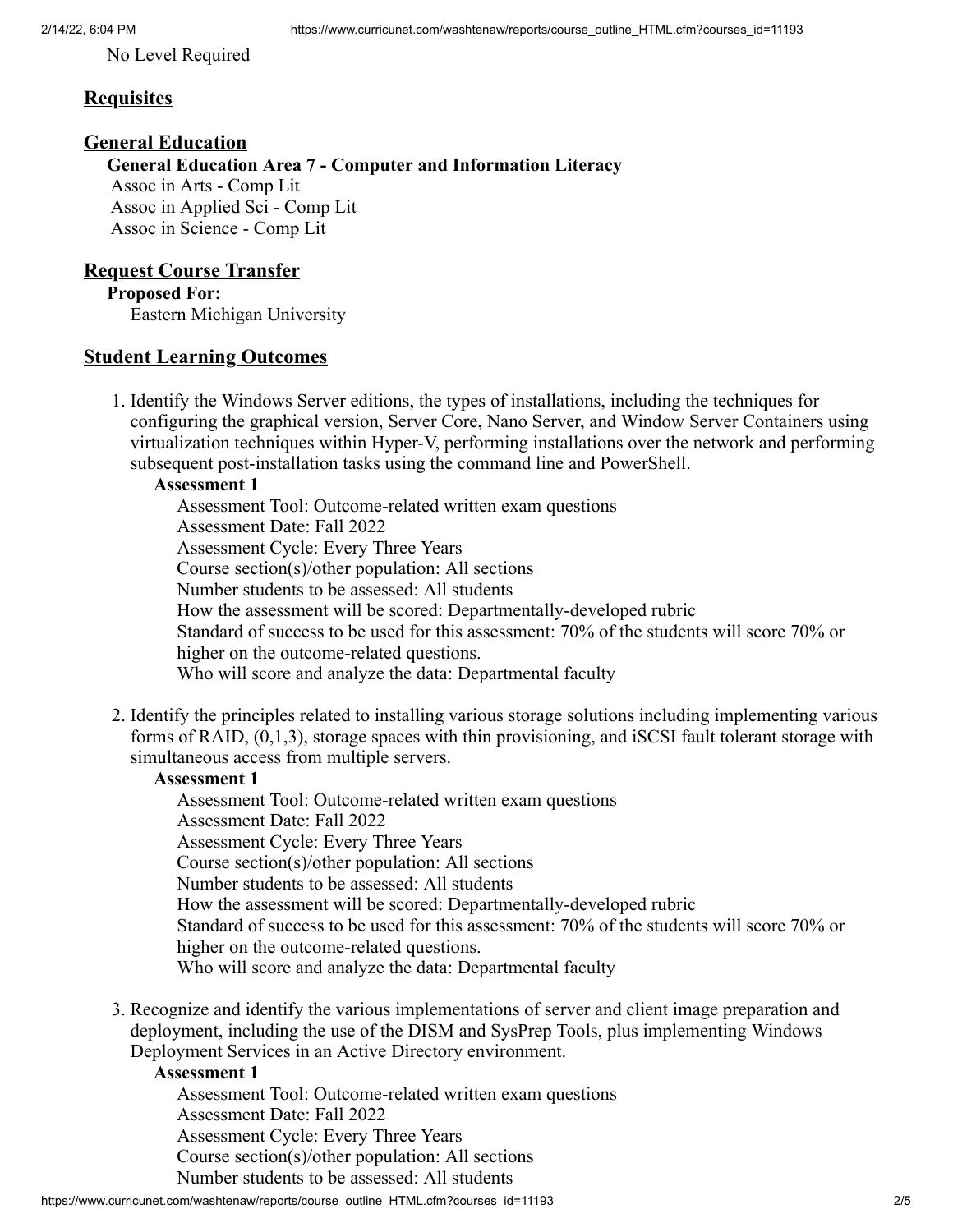No Level Required

#### **Requisites**

#### **General Education**

**General Education Area 7 - Computer and Information Literacy** Assoc in Arts - Comp Lit Assoc in Applied Sci - Comp Lit Assoc in Science - Comp Lit

#### **Request Course Transfer**

**Proposed For:**

Eastern Michigan University

#### **Student Learning Outcomes**

1. Identify the Windows Server editions, the types of installations, including the techniques for configuring the graphical version, Server Core, Nano Server, and Window Server Containers using virtualization techniques within Hyper-V, performing installations over the network and performing subsequent post-installation tasks using the command line and PowerShell.

#### **Assessment 1**

Assessment Tool: Outcome-related written exam questions Assessment Date: Fall 2022 Assessment Cycle: Every Three Years Course section(s)/other population: All sections Number students to be assessed: All students How the assessment will be scored: Departmentally-developed rubric Standard of success to be used for this assessment: 70% of the students will score 70% or higher on the outcome-related questions. Who will score and analyze the data: Departmental faculty

2. Identify the principles related to installing various storage solutions including implementing various forms of RAID, (0,1,3), storage spaces with thin provisioning, and iSCSI fault tolerant storage with simultaneous access from multiple servers.

#### **Assessment 1**

Assessment Tool: Outcome-related written exam questions Assessment Date: Fall 2022 Assessment Cycle: Every Three Years Course section(s)/other population: All sections Number students to be assessed: All students How the assessment will be scored: Departmentally-developed rubric Standard of success to be used for this assessment: 70% of the students will score 70% or higher on the outcome-related questions. Who will score and analyze the data: Departmental faculty

3. Recognize and identify the various implementations of server and client image preparation and deployment, including the use of the DISM and SysPrep Tools, plus implementing Windows Deployment Services in an Active Directory environment.

#### **Assessment 1**

Assessment Tool: Outcome-related written exam questions Assessment Date: Fall 2022 Assessment Cycle: Every Three Years Course section(s)/other population: All sections Number students to be assessed: All students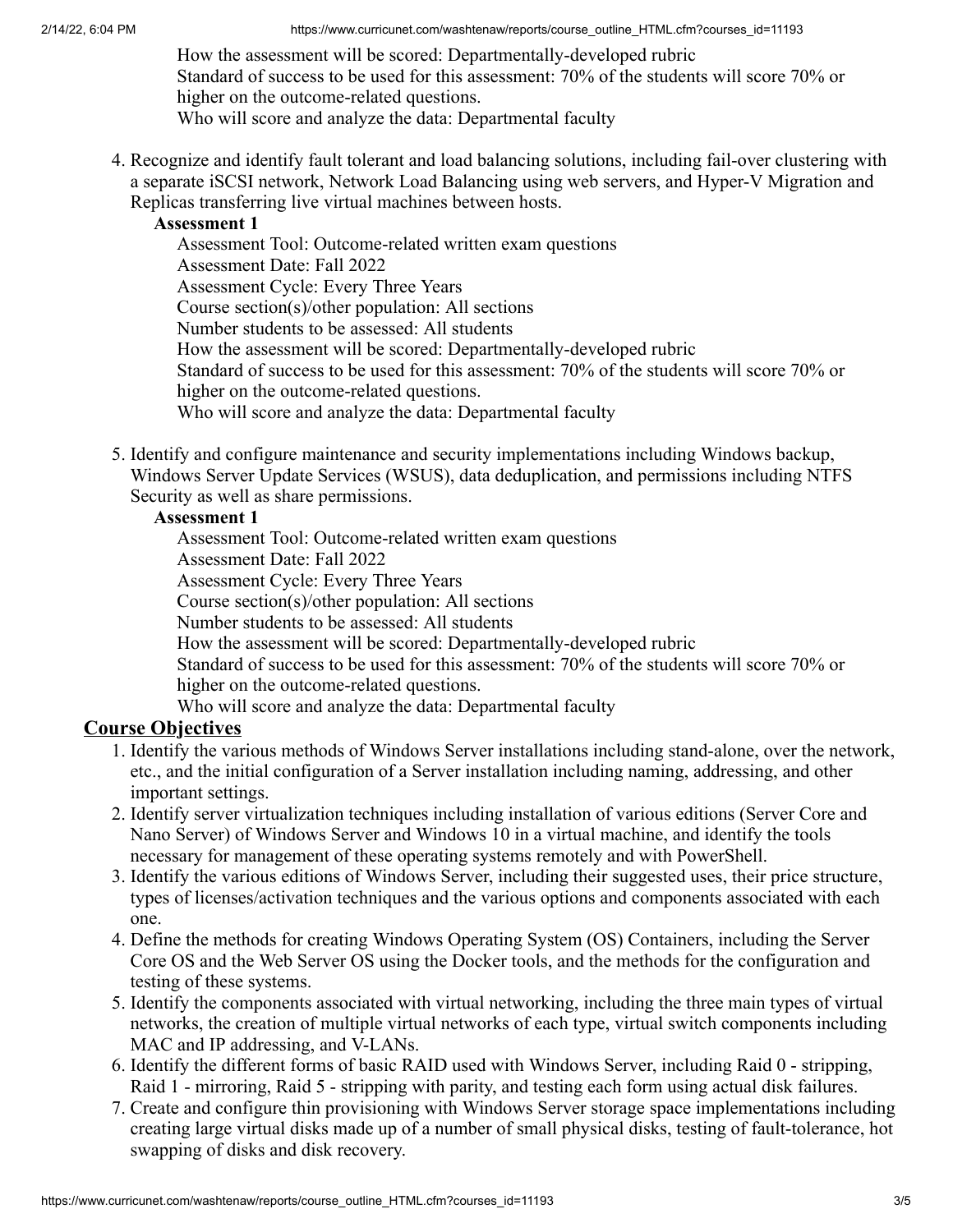How the assessment will be scored: Departmentally-developed rubric Standard of success to be used for this assessment: 70% of the students will score 70% or higher on the outcome-related questions.

Who will score and analyze the data: Departmental faculty

4. Recognize and identify fault tolerant and load balancing solutions, including fail-over clustering with a separate iSCSI network, Network Load Balancing using web servers, and Hyper-V Migration and Replicas transferring live virtual machines between hosts.

## **Assessment 1**

Assessment Tool: Outcome-related written exam questions Assessment Date: Fall 2022 Assessment Cycle: Every Three Years Course section(s)/other population: All sections Number students to be assessed: All students How the assessment will be scored: Departmentally-developed rubric Standard of success to be used for this assessment: 70% of the students will score 70% or higher on the outcome-related questions. Who will score and analyze the data: Departmental faculty

5. Identify and configure maintenance and security implementations including Windows backup, Windows Server Update Services (WSUS), data deduplication, and permissions including NTFS Security as well as share permissions.

## **Assessment 1**

Assessment Tool: Outcome-related written exam questions Assessment Date: Fall 2022 Assessment Cycle: Every Three Years Course section(s)/other population: All sections Number students to be assessed: All students How the assessment will be scored: Departmentally-developed rubric Standard of success to be used for this assessment: 70% of the students will score 70% or higher on the outcome-related questions. Who will score and analyze the data: Departmental faculty

# **Course Objectives**

- 1. Identify the various methods of Windows Server installations including stand-alone, over the network, etc., and the initial configuration of a Server installation including naming, addressing, and other important settings.
- 2. Identify server virtualization techniques including installation of various editions (Server Core and Nano Server) of Windows Server and Windows 10 in a virtual machine, and identify the tools necessary for management of these operating systems remotely and with PowerShell.
- 3. Identify the various editions of Windows Server, including their suggested uses, their price structure, types of licenses/activation techniques and the various options and components associated with each one.
- 4. Define the methods for creating Windows Operating System (OS) Containers, including the Server Core OS and the Web Server OS using the Docker tools, and the methods for the configuration and testing of these systems.
- 5. Identify the components associated with virtual networking, including the three main types of virtual networks, the creation of multiple virtual networks of each type, virtual switch components including MAC and IP addressing, and V-LANs.
- 6. Identify the different forms of basic RAID used with Windows Server, including Raid 0 stripping, Raid 1 - mirroring, Raid 5 - stripping with parity, and testing each form using actual disk failures.
- 7. Create and configure thin provisioning with Windows Server storage space implementations including creating large virtual disks made up of a number of small physical disks, testing of fault-tolerance, hot swapping of disks and disk recovery.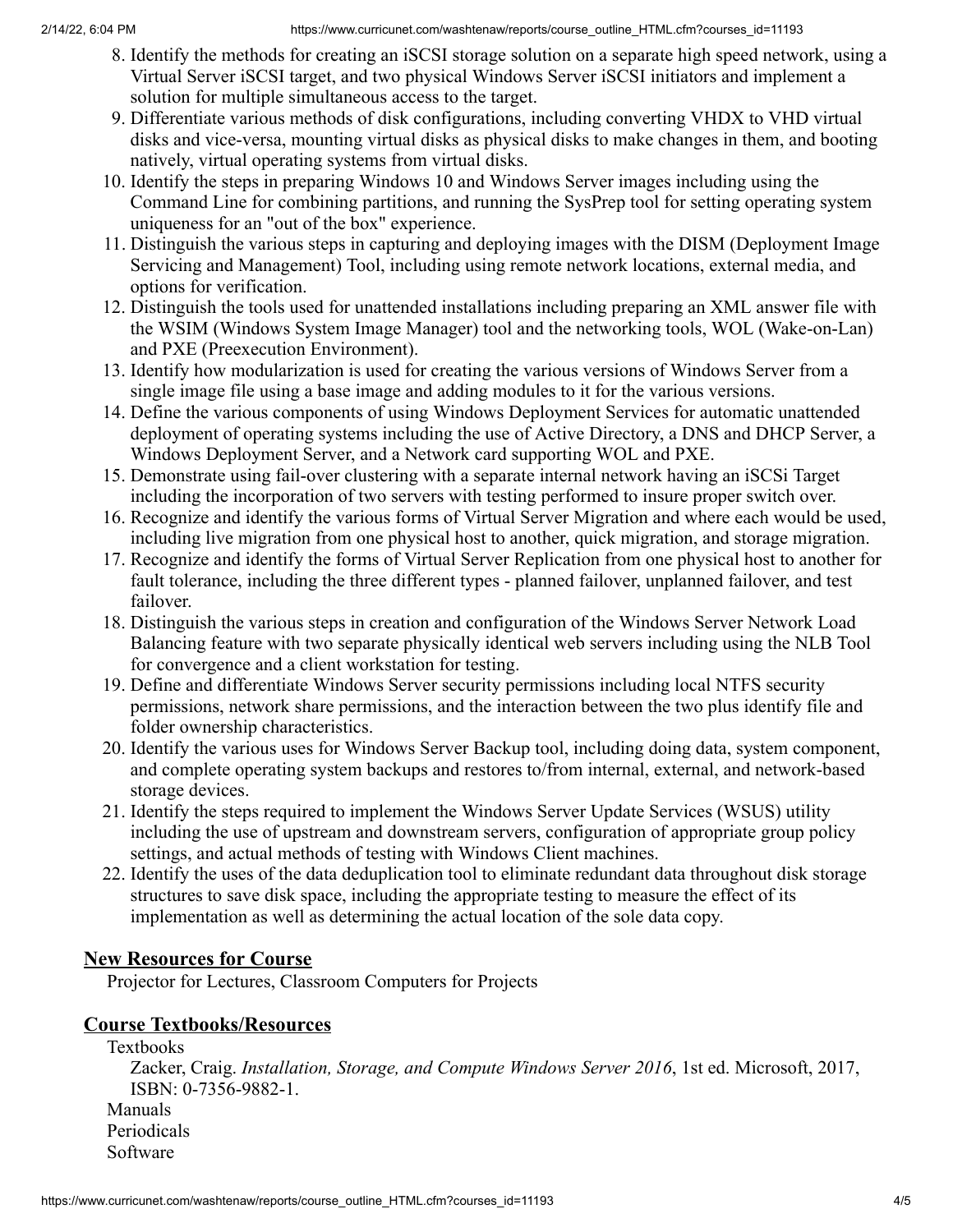- 8. Identify the methods for creating an iSCSI storage solution on a separate high speed network, using a Virtual Server iSCSI target, and two physical Windows Server iSCSI initiators and implement a solution for multiple simultaneous access to the target.
- 9. Differentiate various methods of disk configurations, including converting VHDX to VHD virtual disks and vice-versa, mounting virtual disks as physical disks to make changes in them, and booting natively, virtual operating systems from virtual disks.
- 10. Identify the steps in preparing Windows 10 and Windows Server images including using the Command Line for combining partitions, and running the SysPrep tool for setting operating system uniqueness for an "out of the box" experience.
- 11. Distinguish the various steps in capturing and deploying images with the DISM (Deployment Image Servicing and Management) Tool, including using remote network locations, external media, and options for verification.
- 12. Distinguish the tools used for unattended installations including preparing an XML answer file with the WSIM (Windows System Image Manager) tool and the networking tools, WOL (Wake-on-Lan) and PXE (Preexecution Environment).
- 13. Identify how modularization is used for creating the various versions of Windows Server from a single image file using a base image and adding modules to it for the various versions.
- 14. Define the various components of using Windows Deployment Services for automatic unattended deployment of operating systems including the use of Active Directory, a DNS and DHCP Server, a Windows Deployment Server, and a Network card supporting WOL and PXE.
- 15. Demonstrate using fail-over clustering with a separate internal network having an iSCSi Target including the incorporation of two servers with testing performed to insure proper switch over.
- 16. Recognize and identify the various forms of Virtual Server Migration and where each would be used, including live migration from one physical host to another, quick migration, and storage migration.
- 17. Recognize and identify the forms of Virtual Server Replication from one physical host to another for fault tolerance, including the three different types - planned failover, unplanned failover, and test failover.
- 18. Distinguish the various steps in creation and configuration of the Windows Server Network Load Balancing feature with two separate physically identical web servers including using the NLB Tool for convergence and a client workstation for testing.
- 19. Define and differentiate Windows Server security permissions including local NTFS security permissions, network share permissions, and the interaction between the two plus identify file and folder ownership characteristics.
- 20. Identify the various uses for Windows Server Backup tool, including doing data, system component, and complete operating system backups and restores to/from internal, external, and network-based storage devices.
- 21. Identify the steps required to implement the Windows Server Update Services (WSUS) utility including the use of upstream and downstream servers, configuration of appropriate group policy settings, and actual methods of testing with Windows Client machines.
- 22. Identify the uses of the data deduplication tool to eliminate redundant data throughout disk storage structures to save disk space, including the appropriate testing to measure the effect of its implementation as well as determining the actual location of the sole data copy.

# **New Resources for Course**

Projector for Lectures, Classroom Computers for Projects

# **Course Textbooks/Resources**

Software

Textbooks Zacker, Craig. *Installation, Storage, and Compute Windows Server 2016*, 1st ed. Microsoft, 2017, ISBN: 0-7356-9882-1. Manuals Periodicals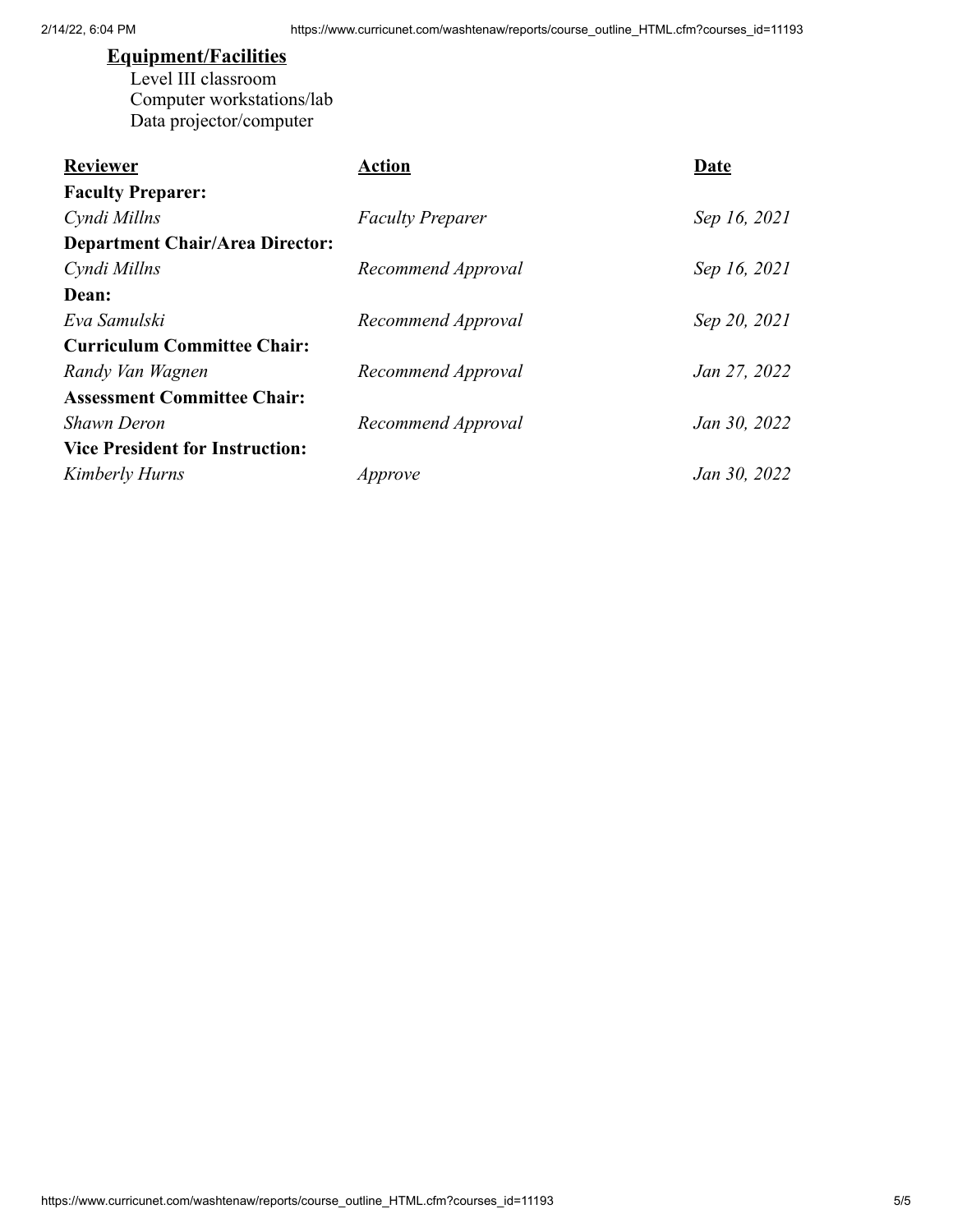# **Equipment/Facilities**

Level III classroom Computer workstations/lab Data projector/computer

| <b>Reviewer</b>                        | Action                  | Date         |
|----------------------------------------|-------------------------|--------------|
| <b>Faculty Preparer:</b>               |                         |              |
| Cyndi Millns                           | <b>Faculty Preparer</b> | Sep 16, 2021 |
| <b>Department Chair/Area Director:</b> |                         |              |
| Cyndi Millns                           | Recommend Approval      | Sep 16, 2021 |
| Dean:                                  |                         |              |
| Eva Samulski                           | Recommend Approval      | Sep 20, 2021 |
| <b>Curriculum Committee Chair:</b>     |                         |              |
| Randy Van Wagnen                       | Recommend Approval      | Jan 27, 2022 |
| <b>Assessment Committee Chair:</b>     |                         |              |
| <b>Shawn Deron</b>                     | Recommend Approval      | Jan 30, 2022 |
| <b>Vice President for Instruction:</b> |                         |              |
| Kimberly Hurns                         | Approve                 | Jan 30, 2022 |
|                                        |                         |              |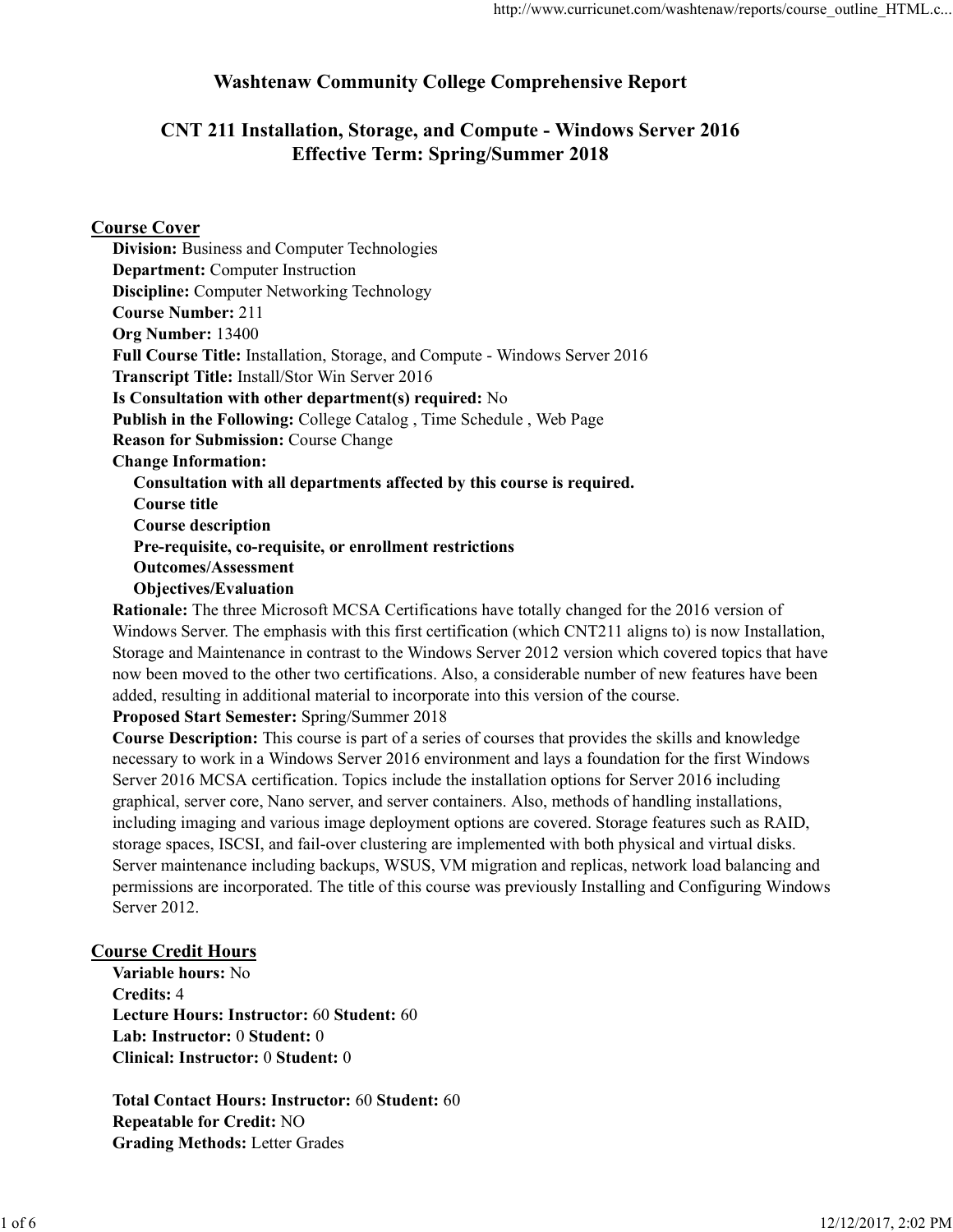# Washtenaw Community College Comprehensive Report

# CNT 211 Installation, Storage, and Compute - Windows Server 2016 Effective Term: Spring/Summer 2018

### Course Cover

| <b>Division:</b> Business and Computer Technologies                         |
|-----------------------------------------------------------------------------|
| <b>Department:</b> Computer Instruction                                     |
| <b>Discipline:</b> Computer Networking Technology                           |
| <b>Course Number: 211</b>                                                   |
| Org Number: 13400                                                           |
| Full Course Title: Installation, Storage, and Compute - Windows Server 2016 |
| <b>Transcript Title: Install/Stor Win Server 2016</b>                       |
| Is Consultation with other department(s) required: No                       |
| Publish in the Following: College Catalog, Time Schedule, Web Page          |
| <b>Reason for Submission: Course Change</b>                                 |
| <b>Change Information:</b>                                                  |
| Consultation with all departments affected by this course is required.      |
| Course title                                                                |
| <b>Course description</b>                                                   |
| Pre-requisite, co-requisite, or enrollment restrictions                     |
| <b>Outcomes/Assessment</b>                                                  |
| $\mathbf{\Omega}$                                                           |

Objectives/Evaluation

Rationale: The three Microsoft MCSA Certifications have totally changed for the 2016 version of Windows Server. The emphasis with this first certification (which CNT211 aligns to) is now Installation, Storage and Maintenance in contrast to the Windows Server 2012 version which covered topics that have now been moved to the other two certifications. Also, a considerable number of new features have been added, resulting in additional material to incorporate into this version of the course.

Proposed Start Semester: Spring/Summer 2018

Course Description: This course is part of a series of courses that provides the skills and knowledge necessary to work in a Windows Server 2016 environment and lays a foundation for the first Windows Server 2016 MCSA certification. Topics include the installation options for Server 2016 including graphical, server core, Nano server, and server containers. Also, methods of handling installations, including imaging and various image deployment options are covered. Storage features such as RAID, storage spaces, ISCSI, and fail-over clustering are implemented with both physical and virtual disks. Server maintenance including backups, WSUS, VM migration and replicas, network load balancing and permissions are incorporated. The title of this course was previously Installing and Configuring Windows Server 2012. including imaging and various image deployment options are covered. Storage features such as RAID,<br>storage spaces, ISCSI, and fail-over clustering are implemented with both physical and virtual disks.<br>Server maintenance in

### Course Credit Hours

Variable hours: No Credits: 4 Lecture Hours: Instructor: 60 Student: 60 Lab: Instructor: 0 Student: 0 Clinical: Instructor: 0 Student: 0

Total Contact Hours: Instructor: 60 Student: 60 Repeatable for Credit: NO Grading Methods: Letter Grades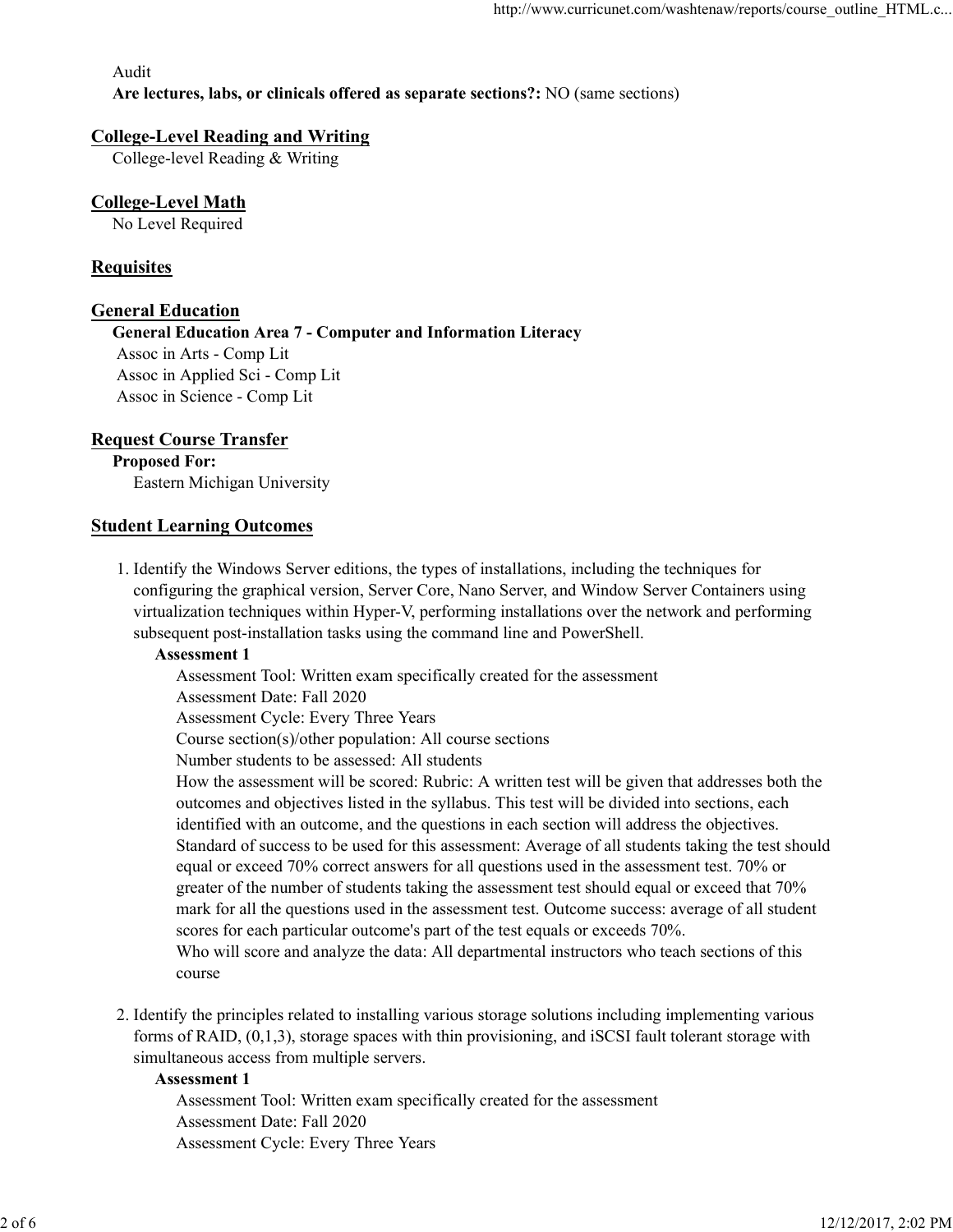#### Audit Are lectures, labs, or clinicals offered as separate sections?: NO (same sections)

### College-Level Reading and Writing

College-level Reading & Writing

## College-Level Math

No Level Required

## **Requisites**

## General Education

General Education Area 7 - Computer and Information Literacy Assoc in Arts - Comp Lit Assoc in Applied Sci - Comp Lit Assoc in Science - Comp Lit

## Request Course Transfer

Proposed For: Eastern Michigan University

### Student Learning Outcomes

1. Identify the Windows Server editions, the types of installations, including the techniques for configuring the graphical version, Server Core, Nano Server, and Window Server Containers using virtualization techniques within Hyper-V, performing installations over the network and performing subsequent post-installation tasks using the command line and PowerShell.

### Assessment 1

Assessment Tool: Written exam specifically created for the assessment

Assessment Date: Fall 2020

Assessment Cycle: Every Three Years

Course section(s)/other population: All course sections

Number students to be assessed: All students

How the assessment will be scored: Rubric: A written test will be given that addresses both the outcomes and objectives listed in the syllabus. This test will be divided into sections, each identified with an outcome, and the questions in each section will address the objectives. Standard of success to be used for this assessment: Average of all students taking the test should equal or exceed 70% correct answers for all questions used in the assessment test. 70% or greater of the number of students taking the assessment test should equal or exceed that 70% mark for all the questions used in the assessment test. Outcome success: average of all student scores for each particular outcome's part of the test equals or exceeds 70%. Who will score and analyze the data: All departmental instructors who teach sections of this identified with an outcome, and the questions in each section will address the objectives.<br>
Standard of success to be used for this assessment: Average of all students taking the test should<br>
equal or exceed 70% orrect an

course

2. Identify the principles related to installing various storage solutions including implementing various forms of RAID, (0,1,3), storage spaces with thin provisioning, and iSCSI fault tolerant storage with simultaneous access from multiple servers.

#### Assessment 1

Assessment Tool: Written exam specifically created for the assessment Assessment Date: Fall 2020 Assessment Cycle: Every Three Years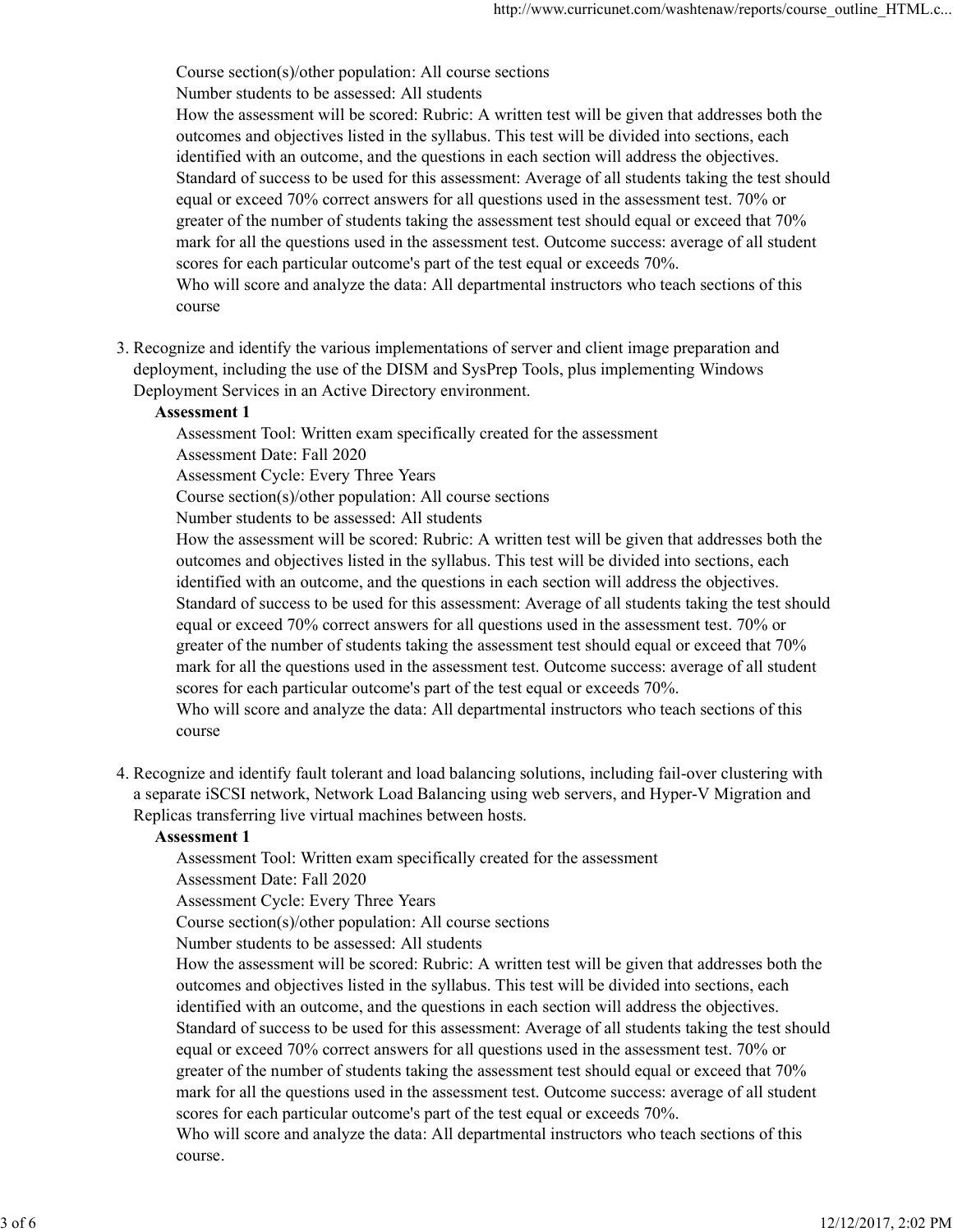Course section(s)/other population: All course sections

Number students to be assessed: All students

How the assessment will be scored: Rubric: A written test will be given that addresses both the outcomes and objectives listed in the syllabus. This test will be divided into sections, each identified with an outcome, and the questions in each section will address the objectives. Standard of success to be used for this assessment: Average of all students taking the test should equal or exceed 70% correct answers for all questions used in the assessment test. 70% or greater of the number of students taking the assessment test should equal or exceed that 70% mark for all the questions used in the assessment test. Outcome success: average of all student scores for each particular outcome's part of the test equal or exceeds 70%. Who will score and analyze the data: All departmental instructors who teach sections of this

course

3. Recognize and identify the various implementations of server and client image preparation and deployment, including the use of the DISM and SysPrep Tools, plus implementing Windows Deployment Services in an Active Directory environment.

#### Assessment 1

Assessment Tool: Written exam specifically created for the assessment Assessment Date: Fall 2020

Assessment Cycle: Every Three Years

Course section(s)/other population: All course sections

Number students to be assessed: All students

How the assessment will be scored: Rubric: A written test will be given that addresses both the outcomes and objectives listed in the syllabus. This test will be divided into sections, each identified with an outcome, and the questions in each section will address the objectives. Standard of success to be used for this assessment: Average of all students taking the test should equal or exceed 70% correct answers for all questions used in the assessment test. 70% or greater of the number of students taking the assessment test should equal or exceed that 70% mark for all the questions used in the assessment test. Outcome success: average of all student scores for each particular outcome's part of the test equal or exceeds 70%. Who will score and analyze the data: All departmental instructors who teach sections of this course

4. Recognize and identify fault tolerant and load balancing solutions, including fail-over clustering with a separate iSCSI network, Network Load Balancing using web servers, and Hyper-V Migration and Replicas transferring live virtual machines between hosts.

### Assessment 1

Assessment Tool: Written exam specifically created for the assessment

Assessment Date: Fall 2020

Assessment Cycle: Every Three Years

Course section(s)/other population: All course sections

Number students to be assessed: All students

How the assessment will be scored: Rubric: A written test will be given that addresses both the outcomes and objectives listed in the syllabus. This test will be divided into sections, each identified with an outcome, and the questions in each section will address the objectives. Standard of success to be used for this assessment: Average of all students taking the test should equal or exceed 70% correct answers for all questions used in the assessment test. 70% or greater of the number of students taking the assessment test should equal or exceed that 70% mark for all the questions used in the assessment test. Outcome success: average of all student scores for each particular outcome's part of the test equal or exceeds 70%. Assessment I<br>
Assessment I of the Maximum Schware in the sesses and the sesses and the sesses and the UV Witten carm specifically created for the assessment Assessment Cycle: Every Three Years<br>
Course section(s)/other pop

Who will score and analyze the data: All departmental instructors who teach sections of this course.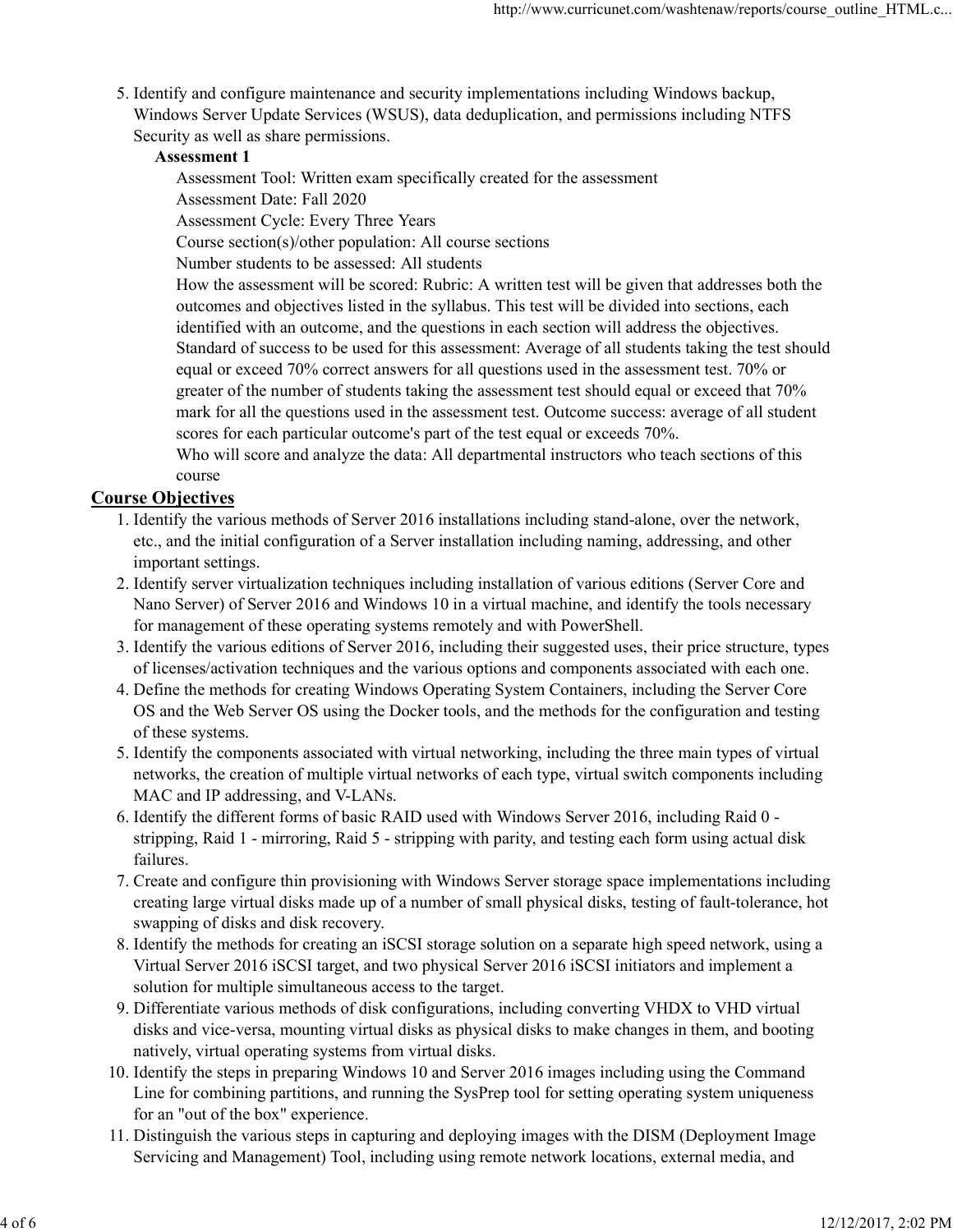5. Identify and configure maintenance and security implementations including Windows backup, Windows Server Update Services (WSUS), data deduplication, and permissions including NTFS Security as well as share permissions.

#### Assessment 1

Assessment Tool: Written exam specifically created for the assessment Assessment Date: Fall 2020

Assessment Cycle: Every Three Years

Course section(s)/other population: All course sections

Number students to be assessed: All students

How the assessment will be scored: Rubric: A written test will be given that addresses both the outcomes and objectives listed in the syllabus. This test will be divided into sections, each identified with an outcome, and the questions in each section will address the objectives. Standard of success to be used for this assessment: Average of all students taking the test should equal or exceed 70% correct answers for all questions used in the assessment test. 70% or greater of the number of students taking the assessment test should equal or exceed that 70% mark for all the questions used in the assessment test. Outcome success: average of all student scores for each particular outcome's part of the test equal or exceeds 70%.

Who will score and analyze the data: All departmental instructors who teach sections of this course

## Course Objectives

- 1. Identify the various methods of Server 2016 installations including stand-alone, over the network, etc., and the initial configuration of a Server installation including naming, addressing, and other important settings.
- 2. Identify server virtualization techniques including installation of various editions (Server Core and Nano Server) of Server 2016 and Windows 10 in a virtual machine, and identify the tools necessary for management of these operating systems remotely and with PowerShell.
- 3. Identify the various editions of Server 2016, including their suggested uses, their price structure, types of licenses/activation techniques and the various options and components associated with each one.
- Define the methods for creating Windows Operating System Containers, including the Server Core 4. OS and the Web Server OS using the Docker tools, and the methods for the configuration and testing of these systems.
- 5. Identify the components associated with virtual networking, including the three main types of virtual networks, the creation of multiple virtual networks of each type, virtual switch components including MAC and IP addressing, and V-LANs.
- 6. Identify the different forms of basic RAID used with Windows Server 2016, including Raid 0 stripping, Raid 1 - mirroring, Raid 5 - stripping with parity, and testing each form using actual disk failures.
- 7. Create and configure thin provisioning with Windows Server storage space implementations including creating large virtual disks made up of a number of small physical disks, testing of fault-tolerance, hot swapping of disks and disk recovery. othermy of entroping particles and the Syrstem content of the DISM (Deployment Image Servicing and Management Of 112/12/2017, 2:02 PM<br>Service and Management Disc increase the state of the music or entroping exists and conf
	- 8. Identify the methods for creating an iSCSI storage solution on a separate high speed network, using a Virtual Server 2016 iSCSI target, and two physical Server 2016 iSCSI initiators and implement a solution for multiple simultaneous access to the target.
	- 9. Differentiate various methods of disk configurations, including converting VHDX to VHD virtual disks and vice-versa, mounting virtual disks as physical disks to make changes in them, and booting natively, virtual operating systems from virtual disks.
	- Identify the steps in preparing Windows 10 and Server 2016 images including using the Command 10. Line for combining partitions, and running the SysPrep tool for setting operating system uniqueness for an "out of the box" experience.
	- 11. Distinguish the various steps in capturing and deploying images with the DISM (Deployment Image Servicing and Management) Tool, including using remote network locations, external media, and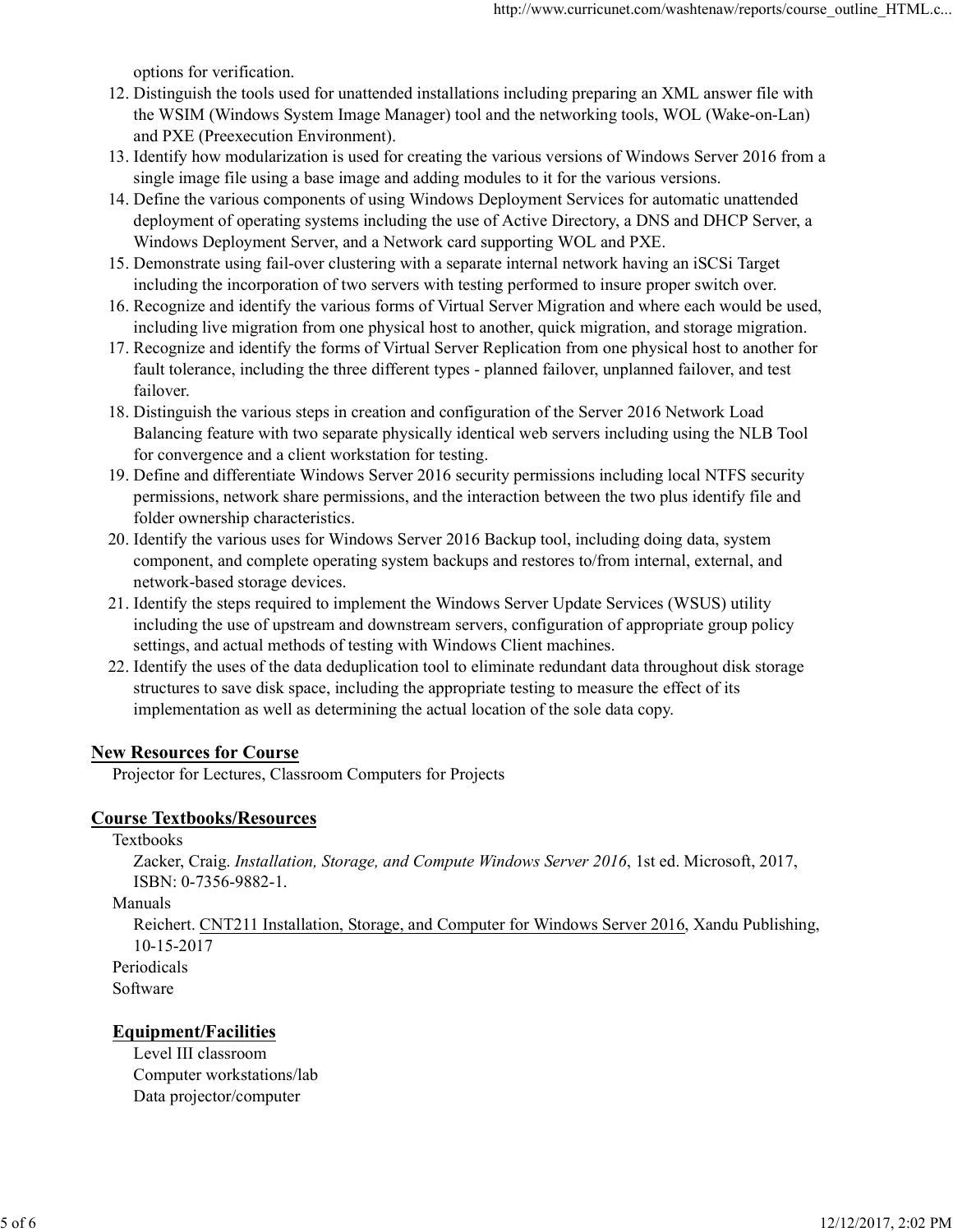options for verification.

- 12. Distinguish the tools used for unattended installations including preparing an XML answer file with the WSIM (Windows System Image Manager) tool and the networking tools, WOL (Wake-on-Lan) and PXE (Preexecution Environment).
- 13. Identify how modularization is used for creating the various versions of Windows Server 2016 from a single image file using a base image and adding modules to it for the various versions.
- 14. Define the various components of using Windows Deployment Services for automatic unattended deployment of operating systems including the use of Active Directory, a DNS and DHCP Server, a Windows Deployment Server, and a Network card supporting WOL and PXE.
- 15. Demonstrate using fail-over clustering with a separate internal network having an iSCSi Target including the incorporation of two servers with testing performed to insure proper switch over.
- 16. Recognize and identify the various forms of Virtual Server Migration and where each would be used, including live migration from one physical host to another, quick migration, and storage migration.
- 17. Recognize and identify the forms of Virtual Server Replication from one physical host to another for fault tolerance, including the three different types - planned failover, unplanned failover, and test failover.
- Distinguish the various steps in creation and configuration of the Server 2016 Network Load 18. Balancing feature with two separate physically identical web servers including using the NLB Tool for convergence and a client workstation for testing.
- 19. Define and differentiate Windows Server 2016 security permissions including local NTFS security permissions, network share permissions, and the interaction between the two plus identify file and folder ownership characteristics.
- 20. Identify the various uses for Windows Server 2016 Backup tool, including doing data, system component, and complete operating system backups and restores to/from internal, external, and network-based storage devices.
- 21. Identify the steps required to implement the Windows Server Update Services (WSUS) utility including the use of upstream and downstream servers, configuration of appropriate group policy settings, and actual methods of testing with Windows Client machines.
- 22. Identify the uses of the data deduplication tool to eliminate redundant data throughout disk storage structures to save disk space, including the appropriate testing to measure the effect of its implementation as well as determining the actual location of the sole data copy.

### New Resources for Course

Projector for Lectures, Classroom Computers for Projects

#### Course Textbooks/Resources

Textbooks

Zacker, Craig. Installation, Storage, and Compute Windows Server 2016, 1st ed. Microsoft, 2017, ISBN: 0-7356-9882-1.

Manuals

Reichert. CNT211 Installation, Storage, and Computer for Windows Server 2016, Xandu Publishing, 10-15-2017 **COUTS TEXIDOOIS NEADITES**<br>
Textbooks<br>
Zacker, Craig, *Installation, Storage, and Compute Windows Server 2016*, 1st ed. Microsoft, 2017,<br>
ISBN: 0-7356-9882-1.<br>
Manuals<br>
Machanta Reichert. CNT211 Installation, Storage, and

Periodicals

Software

### Equipment/Facilities

Level III classroom Computer workstations/lab Data projector/computer